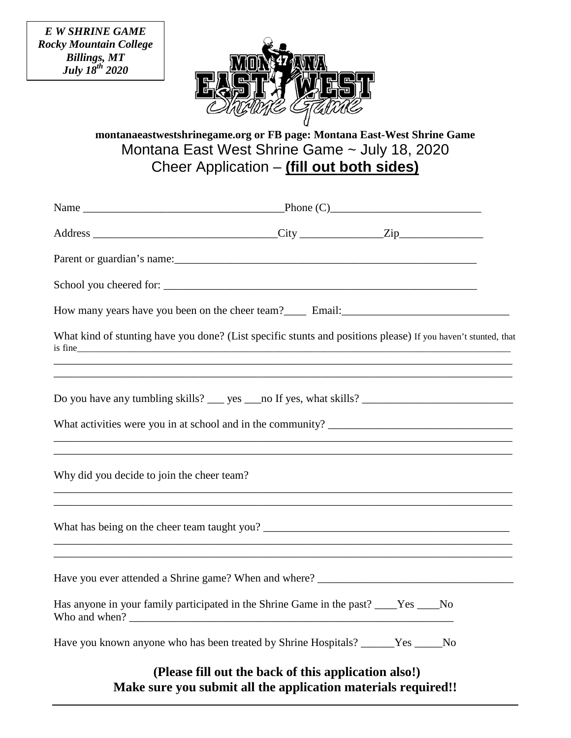*E W SHRINE GAME Rocky Mountain College Billings, MT July 18th 2020*



**montanaeastwestshrinegame.org or FB page: Montana East-West Shrine Game** Montana East West Shrine Game ~ July 18, 2020 Cheer Application – **(fill out both sides)**

|                                            | Parent or guardian's name: 1997 and 1997 and 1997 and 1997 and 1997 and 1997 and 1997 and 1997 and 1997 and 1997 and 1997 and 1997 and 1997 and 1997 and 1997 and 1997 and 1997 and 1997 and 1997 and 1997 and 1997 and 1997 a |  |
|--------------------------------------------|--------------------------------------------------------------------------------------------------------------------------------------------------------------------------------------------------------------------------------|--|
|                                            | School you cheered for:                                                                                                                                                                                                        |  |
|                                            |                                                                                                                                                                                                                                |  |
|                                            | What kind of stunting have you done? (List specific stunts and positions please) If you haven't stunted, that<br>is fine                                                                                                       |  |
|                                            |                                                                                                                                                                                                                                |  |
|                                            | ,我们也不能在这里的时候,我们也不能在这里的时候,我们也不能会在这里的时候,我们也不能会在这里的时候,我们也不能会在这里的时候,我们也不能会在这里的时候,我们也不                                                                                                                                              |  |
| Why did you decide to join the cheer team? |                                                                                                                                                                                                                                |  |
|                                            | ,我们也不能在这里的人,我们也不能在这里的人,我们也不能在这里的人,我们也不能在这里的人,我们也不能在这里的人,我们也不能在这里的人,我们也不能在这里的人,我们也                                                                                                                                              |  |
|                                            |                                                                                                                                                                                                                                |  |
|                                            | Has anyone in your family participated in the Shrine Game in the past? ____Yes ____No                                                                                                                                          |  |
|                                            | Have you known anyone who has been treated by Shrine Hospitals? _____Yes ____No                                                                                                                                                |  |
|                                            | (Please fill out the back of this application also!)                                                                                                                                                                           |  |

**Make sure you submit all the application materials required!!**